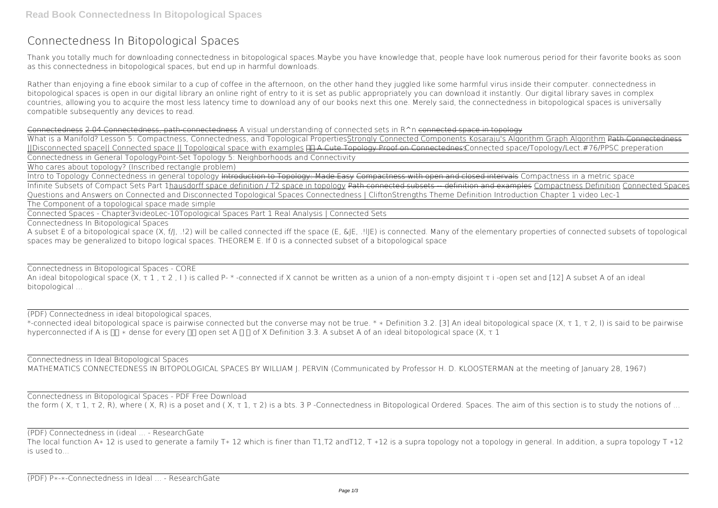## **Connectedness In Bitopological Spaces**

Thank you totally much for downloading **connectedness in bitopological spaces**.Maybe you have knowledge that, people have look numerous period for their favorite books as soon as this connectedness in bitopological spaces, but end up in harmful downloads.

Rather than enjoying a fine ebook similar to a cup of coffee in the afternoon, on the other hand they juggled like some harmful virus inside their computer. **connectedness in bitopological spaces** is open in our digital library an online right of entry to it is set as public appropriately you can download it instantly. Our digital library saves in complex countries, allowing you to acquire the most less latency time to download any of our books next this one. Merely said, the connectedness in bitopological spaces is universally compatible subsequently any devices to read.

What is a Manifold? Lesson 5: Compactness, Connectedness, and Topological PropertiesStrongly Connected Components Kosaraju's Algorithm Graph Algorithm Path Connectedness ||Disconnected space|| Connected space || Topological space with examples A Cute Topology Proof on Connectedness*Connected space/Topology/Lect.#76/PPSC preperation* Connectedness in General Topology**Point-Set Topology 5: Neighborhoods and Connectivity**

Connectedness 2.04 Connectedness, path-connectedness **A visual understanding of connected sets in R^n** connected space in topology

An ideal bitopological space (X, τ 1, τ 2, I) is called P- \*-connected if X cannot be written as a union of a non-empty disjoint τ i -open set and [12] A subset A of an ideal bitopological ...

\*-connected ideal bitopological space is pairwise connected but the converse may not be true. \* ∗ Definition 3.2. [3] An ideal bitopological space (X, τ 1, τ 2, I) is said to be pairwise hyperconnected if A is  $\Box\Box$  \* dense for every  $\Box\Box$  open set A  $\Box\Box$  of X Definition 3.3. A subset A of an ideal bitopological space (X,  $\tau$  1

Who cares about topology? (Inscribed rectangle problem)

Connectedness in Bitopological Spaces - PDF Free Download the form (X, τ 1, τ 2, R), where (X, R) is a poset and (X, τ 1, τ 2) is a bts. 3 P-Connectedness in Bitopological Ordered. Spaces. The aim of this section is to study the notions of ...

Intro to Topology Connectedness in general topology Introduction to Topology: Made Easy Compactness with open and closed intervals *Compactness in a metric space* Infinite Subsets of Compact Sets Part 1hausdorff space definition / T2 space in topology Path connected subsets definition and examples Compactness Definition Connected Spaces Questions and Answers on Connected and Disconnected Topological Spaces Connectedness | CliftonStrengths Theme Definition *Introduction Chapter 1 video Lec-1* The Component of a topological space made simple

The local function A\* 12 is used to generate a family T\* 12 which is finer than T1,T2 andT12, T \*12 is a supra topology not a topology in general. In addition, a supra topology T \*12 is used to...

Connected Spaces - Chapter3videoLec-10*Topological Spaces Part 1* Real Analysis | Connected Sets

Connectedness In Bitopological Spaces

A subset E of a bitopological space (X, f/J, .!2) will be called connected iff the space (E, &JE, .!lJE) is connected. Many of the elementary properties of connected subsets of topological spaces may be generalized to bitopo logical spaces. THEOREM E. If 0 is a connected subset of a bitopological space

Connectedness in Bitopological Spaces - CORE

(PDF) Connectedness in ideal bitopological spaces,

Connectedness in Ideal Bitopological Spaces MATHEMATICS CONNECTEDNESS IN BITOPOLOGICAL SPACES BY WILLIAM J. PERVIN (Communicated by Professor H. D. KLOOSTERMAN at the meeting of January 28, 1967)

(PDF) Connectedness in (ideal ... - ResearchGate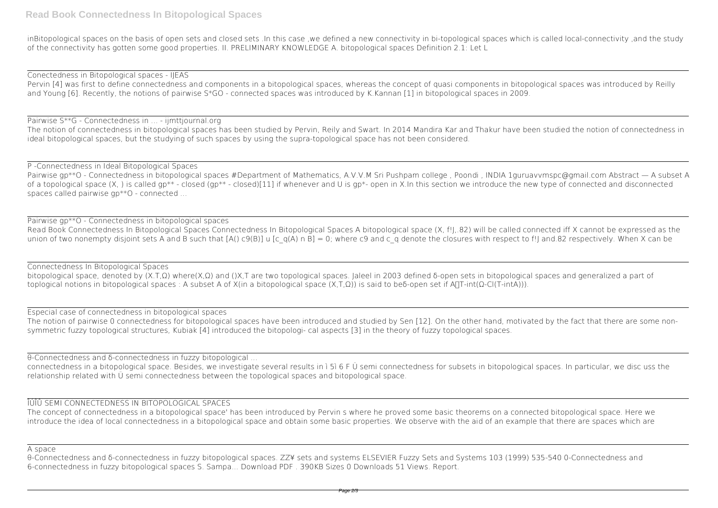inBitopological spaces on the basis of open sets and closed sets .In this case ,we defined a new connectivity in bi-topological spaces which is called local-connectivity ,and the study of the connectivity has gotten some good properties. II. PRELIMINARY KNOWLEDGE A. bitopological spaces Definition 2.1: Let L

Pervin [4] was first to define connectedness and components in a bitopological spaces, whereas the concept of quasi components in bitopological spaces was introduced by Reilly and Young [6]. Recently, the notions of pairwise S\*GO - connected spaces was introduced by K.Kannan [1] in bitopological spaces in 2009.

Conectedness in Bitopological spaces - IJEAS

## Pairwise S\*\*G - Connectedness in ... - ijmttjournal.org

Pairwise gp\*\*O - Connectedness in bitopological spaces #Department of Mathematics, A.V.V.M Sri Pushpam college, Poondi, INDIA 1guruavvmspc@gmail.com Abstract — A subset A of a topological space (X, ) is called gp<sup>\*\*</sup> - closed (gp<sup>\*\*</sup> - closed)[11] if whenever and U is gp<sup>\*</sup>- open in X.In this section we introduce the new type of connected and disconnected spaces called pairwise gp\*\*O - connected ...

Pairwise gp\*\*O - Connectedness in bitopological spaces Read Book Connectedness In Bitopological Spaces Connectedness In Bitopological Spaces A bitopological space (X, f!J,.82) will be called connected iff X cannot be expressed as the union of two nonempty disjoint sets A and B such that  $[A() \cap B] = (A) \cap B] = 0$ ; where c9 and c\_q denote the closures with respect to f! and.82 respectively. When X can be

The notion of connectedness in bitopological spaces has been studied by Pervin, Reily and Swart. In 2014 Mandira Kar and Thakur have been studied the notion of connectedness in ideal bitopological spaces, but the studying of such spaces by using the supra-topological space has not been considered.

Connectedness In Bitopological Spaces bitopological space, denoted by (X.T,Ω) where(X,Ω) and ()X,T are two topological spaces. Jaleel in 2003 defined δ-open sets in bitopological spaces and generalized a part of toplogical notions in bitopological spaces : A subset A of X(in a bitopological space (X,T,Ω)) is said to beδ-open set if A∏T-int(Ω-Cl(T-intA))).

P -Connectedness in Ideal Bitopological Spaces

The notion of pairwise 0 connectedness for bitopological spaces have been introduced and studied by Sen [12]. On the other hand, motivated by the fact that there are some nonsymmetric fuzzy topological structures, Kubiak [4] introduced the bitopologi- cal aspects [3] in the theory of fuzzy topological spaces.

Especial case of connectedness in bitopological spaces

θ-Connectedness and δ-connectedness in fuzzy bitopological ...

connectedness in a bitopological space. Besides, we investigate several results in ì 5ì 6 F Ü semi connectedness for subsets in bitopological spaces. In particular, we disc uss the relationship related with Ü semi connectedness between the topological spaces and bitopological space.

## ÎÚÎÛ SEMI CONNECTEDNESS IN BITOPOLOGICAL SPACES

The concept of connectedness in a bitopological space' has been introduced by Pervin s where he proved some basic theorems on a connected bitopological space. Here we introduce the idea of local connectedness in a bitopological space and obtain some basic properties. We observe with the aid of an example that there are spaces which are

A space

θ-Connectedness and δ-connectedness in fuzzy bitopological spaces. ZZ¥ sets and systems ELSEVIER Fuzzy Sets and Systems 103 (1999) 535-540 0-Connectedness and 6-connectedness in fuzzy bitopological spaces S. Sampa... Download PDF . 390KB Sizes 0 Downloads 51 Views. Report.